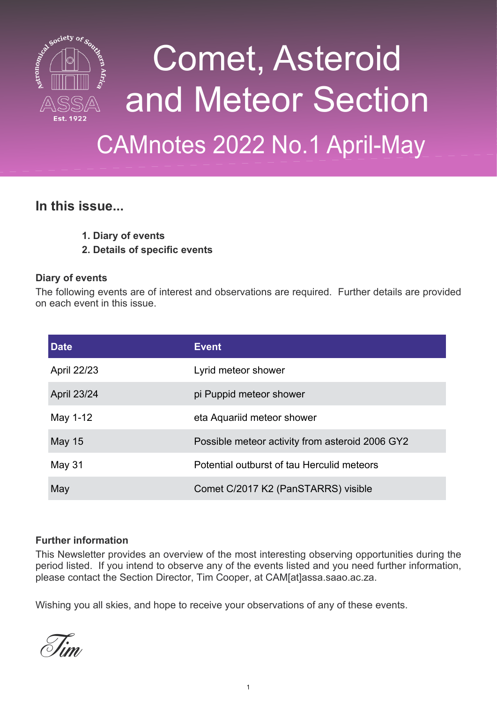

# Comet, Asteroid and Meteor Section

## CAMnotes 2022 No.1 April-May

#### **In this issue...**

- **1. Diary of events**
- **2. Details of specific events**

#### **Diary of events**

The following events are of interest and observations are required. Further details are provided on each event in this issue.

| <b>Date</b>   | <b>Event</b>                                    |
|---------------|-------------------------------------------------|
| April 22/23   | Lyrid meteor shower                             |
| April 23/24   | pi Puppid meteor shower                         |
| May 1-12      | eta Aquariid meteor shower                      |
| <b>May 15</b> | Possible meteor activity from asteroid 2006 GY2 |
| <b>May 31</b> | Potential outburst of tau Herculid meteors      |
| May           | Comet C/2017 K2 (PanSTARRS) visible             |

#### **Further information**

This Newsletter provides an overview of the most interesting observing opportunities during the period listed. If you intend to observe any of the events listed and you need further information, please contact the Section Director, Tim Cooper, at CAM[at]assa.saao.ac.za.

Wishing you all skies, and hope to receive your observations of any of these events.

Tim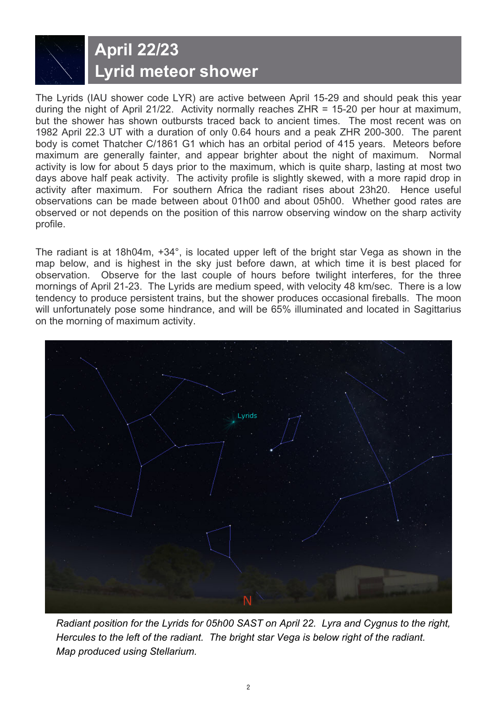### **April 22/23 Lyrid meteor shower**

The Lyrids (IAU shower code LYR) are active between April 15-29 and should peak this year during the night of April 21/22. Activity normally reaches ZHR = 15-20 per hour at maximum, but the shower has shown outbursts traced back to ancient times. The most recent was on 1982 April 22.3 UT with a duration of only 0.64 hours and a peak ZHR 200-300. The parent body is comet Thatcher C/1861 G1 which has an orbital period of 415 years. Meteors before maximum are generally fainter, and appear brighter about the night of maximum. Normal activity is low for about 5 days prior to the maximum, which is quite sharp, lasting at most two days above half peak activity. The activity profile is slightly skewed, with a more rapid drop in activity after maximum. For southern Africa the radiant rises about 23h20. Hence useful observations can be made between about 01h00 and about 05h00. Whether good rates are observed or not depends on the position of this narrow observing window on the sharp activity profile.

The radiant is at 18h04m, +34°, is located upper left of the bright star Vega as shown in the map below, and is highest in the sky just before dawn, at which time it is best placed for observation. Observe for the last couple of hours before twilight interferes, for the three mornings of April 21-23. The Lyrids are medium speed, with velocity 48 km/sec. There is a low tendency to produce persistent trains, but the shower produces occasional fireballs. The moon will unfortunately pose some hindrance, and will be 65% illuminated and located in Sagittarius on the morning of maximum activity.



*Radiant position for the Lyrids for 05h00 SAST on April 22. Lyra and Cygnus to the right, Hercules to the left of the radiant. The bright star Vega is below right of the radiant. Map produced using Stellarium.*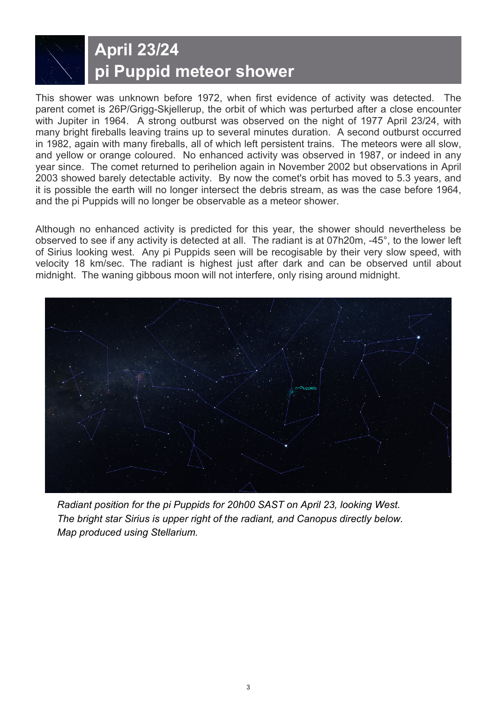### **April 23/24 pi Puppid meteor shower**

This shower was unknown before 1972, when first evidence of activity was detected. The parent comet is 26P/Grigg-Skjellerup, the orbit of which was perturbed after a close encounter with Jupiter in 1964. A strong outburst was observed on the night of 1977 April 23/24, with many bright fireballs leaving trains up to several minutes duration. A second outburst occurred in 1982, again with many fireballs, all of which left persistent trains. The meteors were all slow, and yellow or orange coloured. No enhanced activity was observed in 1987, or indeed in any year since. The comet returned to perihelion again in November 2002 but observations in April 2003 showed barely detectable activity. By now the comet's orbit has moved to 5.3 years, and it is possible the earth will no longer intersect the debris stream, as was the case before 1964, and the pi Puppids will no longer be observable as a meteor shower.

Although no enhanced activity is predicted for this year, the shower should nevertheless be observed to see if any activity is detected at all. The radiant is at 07h20m, -45°, to the lower left of Sirius looking west. Any pi Puppids seen will be recogisable by their very slow speed, with velocity 18 km/sec. The radiant is highest just after dark and can be observed until about midnight. The waning gibbous moon will not interfere, only rising around midnight.



*Radiant position for the pi Puppids for 20h00 SAST on April 23, looking West. The bright star Sirius is upper right of the radiant, and Canopus directly below. Map produced using Stellarium.*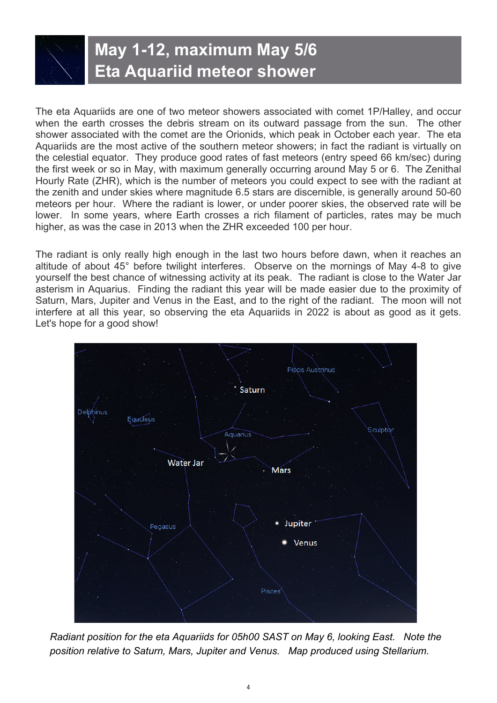#### **May 1-12, maximum May 5/6 Eta Aquariid meteor shower**

The eta Aquariids are one of two meteor showers associated with comet 1P/Halley, and occur when the earth crosses the debris stream on its outward passage from the sun. The other shower associated with the comet are the Orionids, which peak in October each year. The eta Aquariids are the most active of the southern meteor showers; in fact the radiant is virtually on the celestial equator. They produce good rates of fast meteors (entry speed 66 km/sec) during the first week or so in May, with maximum generally occurring around May 5 or 6. The Zenithal Hourly Rate (ZHR), which is the number of meteors you could expect to see with the radiant at the zenith and under skies where magnitude 6.5 stars are discernible, is generally around 50-60 meteors per hour. Where the radiant is lower, or under poorer skies, the observed rate will be lower. In some years, where Earth crosses a rich filament of particles, rates may be much higher, as was the case in 2013 when the ZHR exceeded 100 per hour.

The radiant is only really high enough in the last two hours before dawn, when it reaches an altitude of about 45° before twilight interferes. Observe on the mornings of May 4-8 to give yourself the best chance of witnessing activity at its peak. The radiant is close to the Water Jar asterism in Aquarius. Finding the radiant this year will be made easier due to the proximity of Saturn, Mars, Jupiter and Venus in the East, and to the right of the radiant. The moon will not interfere at all this year, so observing the eta Aquariids in 2022 is about as good as it gets. Let's hope for a good show!



*Radiant position for the eta Aquariids for 05h00 SAST on May 6, looking East. Note the position relative to Saturn, Mars, Jupiter and Venus. Map produced using Stellarium.*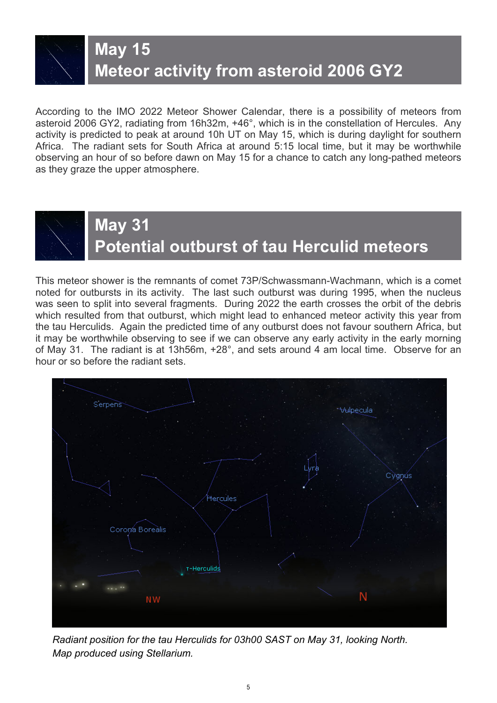**May 15**

#### **Meteor activity from asteroid 2006 GY2**

According to the IMO 2022 Meteor Shower Calendar, there is a possibility of meteors from asteroid 2006 GY2, radiating from 16h32m, +46°, which is in the constellation of Hercules. Any activity is predicted to peak at around 10h UT on May 15, which is during daylight for southern Africa. The radiant sets for South Africa at around 5:15 local time, but it may be worthwhile observing an hour of so before dawn on May 15 for a chance to catch any long-pathed meteors as they graze the upper atmosphere.



#### **May 31 Potential outburst of tau Herculid meteors**

This meteor shower is the remnants of comet 73P/Schwassmann-Wachmann, which is a comet noted for outbursts in its activity. The last such outburst was during 1995, when the nucleus was seen to split into several fragments. During 2022 the earth crosses the orbit of the debris which resulted from that outburst, which might lead to enhanced meteor activity this year from the tau Herculids. Again the predicted time of any outburst does not favour southern Africa, but it may be worthwhile observing to see if we can observe any early activity in the early morning of May 31. The radiant is at 13h56m, +28°, and sets around 4 am local time. Observe for an hour or so before the radiant sets.



*Radiant position for the tau Herculids for 03h00 SAST on May 31, looking North. Map produced using Stellarium.*